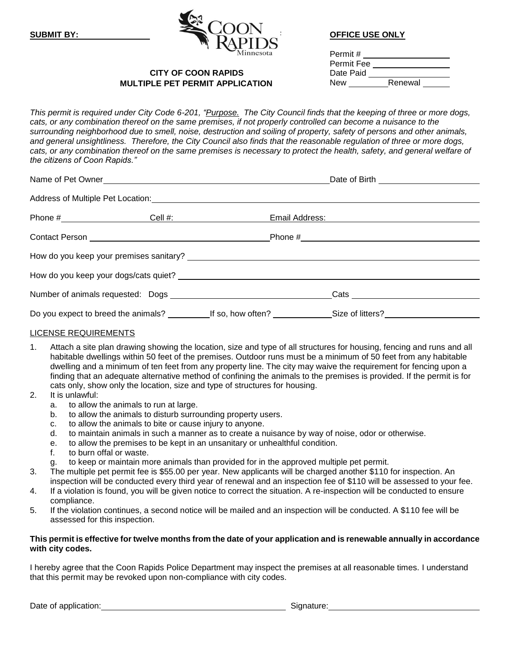

| Permit #   |         |
|------------|---------|
| Permit Fee |         |
| Date Paid  |         |
| New        | Renewal |

# **CITY OF COON RAPIDS MULTIPLE PET PERMIT APPLICATION NEW RENEW RENEW RENEW RENEW RENEW RENEW RENEW RENEW RENEW RENEW RENEW RENEW RE**

*This permit is required under City Code 6-201, "Purpose. The City Council finds that the keeping of three or more dogs, cats, or any combination thereof on the same premises, if not properly controlled can become a nuisance to the surrounding neighborhood due to smell, noise, destruction and soiling of property, safety of persons and other animals, and general unsightliness. Therefore, the City Council also finds that the reasonable regulation of three or more dogs,*  cats, or any combination thereof on the same premises is necessary to protect the health, safety, and general welfare of *the citizens of Coon Rapids."*

| Name of Pet Owner                                   |                                                                                                                                                                                                                                |  |  |  |  |
|-----------------------------------------------------|--------------------------------------------------------------------------------------------------------------------------------------------------------------------------------------------------------------------------------|--|--|--|--|
|                                                     |                                                                                                                                                                                                                                |  |  |  |  |
|                                                     | Email Address: The Contract of the Contract of the Contract of the Contract of the Contract of the Contract of the Contract of the Contract of the Contract of the Contract of the Contract of the Contract of the Contract of |  |  |  |  |
| Contact Person <b>contact of the Contact Person</b> |                                                                                                                                                                                                                                |  |  |  |  |
|                                                     |                                                                                                                                                                                                                                |  |  |  |  |
|                                                     |                                                                                                                                                                                                                                |  |  |  |  |
|                                                     |                                                                                                                                                                                                                                |  |  |  |  |
|                                                     | Do you expect to breed the animals? Let so, how often? Let us also say the same series of litters?                                                                                                                             |  |  |  |  |

# LICENSE REQUIREMENTS

- 1. Attach a site plan drawing showing the location, size and type of all structures for housing, fencing and runs and all habitable dwellings within 50 feet of the premises. Outdoor runs must be a minimum of 50 feet from any habitable dwelling and a minimum of ten feet from any property line. The city may waive the requirement for fencing upon a finding that an adequate alternative method of confining the animals to the premises is provided. If the permit is for cats only, show only the location, size and type of structures for housing.
- 2. It is unlawful:
	- a. to allow the animals to run at large.
	- b. to allow the animals to disturb surrounding property users.
	- c. to allow the animals to bite or cause injury to anyone.
	- d. to maintain animals in such a manner as to create a nuisance by way of noise, odor or otherwise.
	- e. to allow the premises to be kept in an unsanitary or unhealthful condition.
	- f. to burn offal or waste.
	- g. to keep or maintain more animals than provided for in the approved multiple pet permit.
- 3. The multiple pet permit fee is \$55.00 per year. New applicants will be charged another \$110 for inspection. An inspection will be conducted every third year of renewal and an inspection fee of \$110 will be assessed to your fee.
- 4. If a violation is found, you will be given notice to correct the situation. A re-inspection will be conducted to ensure compliance.
- 5. If the violation continues, a second notice will be mailed and an inspection will be conducted. A \$110 fee will be assessed for this inspection.

### **This permit is effective for twelve months from the date of your application and is renewable annually in accordance with city codes.**

I hereby agree that the Coon Rapids Police Department may inspect the premises at all reasonable times. I understand that this permit may be revoked upon non-compliance with city codes.

Date of application: Signature: Signature: Signature: Signature: Signature: Signature: Signature: Signature: Signature: Signature: Signature: Signature: Signature: Signature: Signature: Signature: Signature: Signature: Sig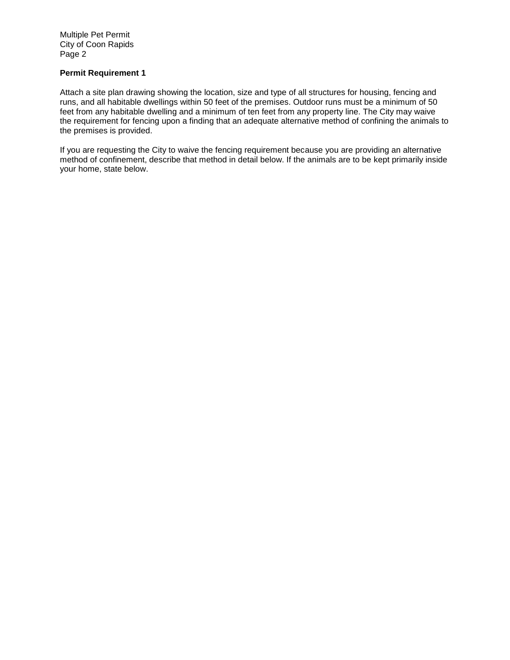Multiple Pet Permit City of Coon Rapids Page 2

# **Permit Requirement 1**

Attach a site plan drawing showing the location, size and type of all structures for housing, fencing and runs, and all habitable dwellings within 50 feet of the premises. Outdoor runs must be a minimum of 50 feet from any habitable dwelling and a minimum of ten feet from any property line. The City may waive the requirement for fencing upon a finding that an adequate alternative method of confining the animals to the premises is provided.

If you are requesting the City to waive the fencing requirement because you are providing an alternative method of confinement, describe that method in detail below. If the animals are to be kept primarily inside your home, state below.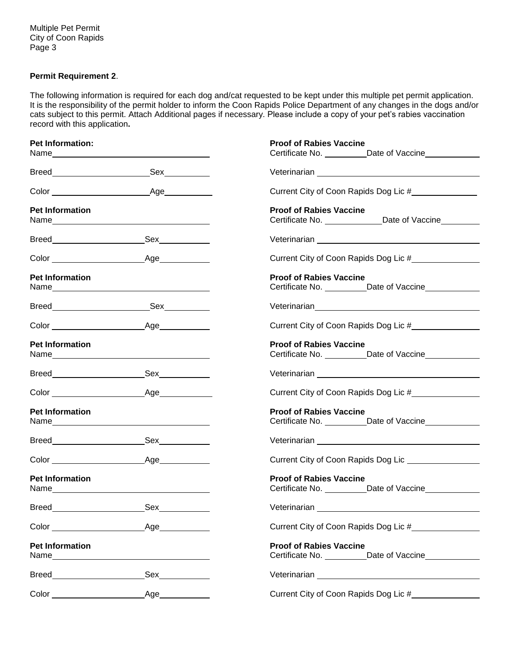Multiple Pet Permit City of Coon Rapids Page 3

# **Permit Requirement 2**.

The following information is required for each dog and/cat requested to be kept under this multiple pet permit application. It is the responsibility of the permit holder to inform the Coon Rapids Police Department of any changes in the dogs and/or cats subject to this permit. Attach Additional pages if necessary. Please include a copy of your pet's rabies vaccination record with this application**.**

| <b>Pet Information:</b>                                                                                                                                                                                                                                  |                                                                                                                                                                                                                                     | <b>Proof of Rabies Vaccine</b>                                                                                                                                                                                                       |
|----------------------------------------------------------------------------------------------------------------------------------------------------------------------------------------------------------------------------------------------------------|-------------------------------------------------------------------------------------------------------------------------------------------------------------------------------------------------------------------------------------|--------------------------------------------------------------------------------------------------------------------------------------------------------------------------------------------------------------------------------------|
|                                                                                                                                                                                                                                                          |                                                                                                                                                                                                                                     | Certificate No. ___________Date of Vaccine______________                                                                                                                                                                             |
|                                                                                                                                                                                                                                                          |                                                                                                                                                                                                                                     |                                                                                                                                                                                                                                      |
|                                                                                                                                                                                                                                                          |                                                                                                                                                                                                                                     | Current City of Coon Rapids Dog Lic #_______________                                                                                                                                                                                 |
| <b>Pet Information</b>                                                                                                                                                                                                                                   |                                                                                                                                                                                                                                     | <b>Proof of Rabies Vaccine</b><br>Certificate No. _________________Date of Vaccine__________                                                                                                                                         |
|                                                                                                                                                                                                                                                          |                                                                                                                                                                                                                                     |                                                                                                                                                                                                                                      |
|                                                                                                                                                                                                                                                          |                                                                                                                                                                                                                                     | Current City of Coon Rapids Dog Lic #                                                                                                                                                                                                |
| <b>Pet Information</b>                                                                                                                                                                                                                                   |                                                                                                                                                                                                                                     | <b>Proof of Rabies Vaccine</b>                                                                                                                                                                                                       |
|                                                                                                                                                                                                                                                          |                                                                                                                                                                                                                                     | Veterinarian <b> entrarritation</b> version of the set of the set of the set of the set of the set of the set of the set of the set of the set of the set of the set of the set of the set of the set of the set of the set of the s |
|                                                                                                                                                                                                                                                          |                                                                                                                                                                                                                                     | Current City of Coon Rapids Dog Lic #                                                                                                                                                                                                |
| <b>Pet Information</b>                                                                                                                                                                                                                                   |                                                                                                                                                                                                                                     | <b>Proof of Rabies Vaccine</b>                                                                                                                                                                                                       |
|                                                                                                                                                                                                                                                          |                                                                                                                                                                                                                                     |                                                                                                                                                                                                                                      |
|                                                                                                                                                                                                                                                          |                                                                                                                                                                                                                                     | Current City of Coon Rapids Dog Lic #________________                                                                                                                                                                                |
| <b>Pet Information</b>                                                                                                                                                                                                                                   | Name and the state of the state of the state of the state of the state of the state of the state of the state of the state of the state of the state of the state of the state of the state of the state of the state of the s      | <b>Proof of Rabies Vaccine</b><br>Certificate No. __________Date of Vaccine______________                                                                                                                                            |
|                                                                                                                                                                                                                                                          |                                                                                                                                                                                                                                     |                                                                                                                                                                                                                                      |
|                                                                                                                                                                                                                                                          |                                                                                                                                                                                                                                     | Current City of Coon Rapids Dog Lic ________________                                                                                                                                                                                 |
| <b>Pet Information</b>                                                                                                                                                                                                                                   |                                                                                                                                                                                                                                     | <b>Proof of Rabies Vaccine</b>                                                                                                                                                                                                       |
| <b>Breed</b>                                                                                                                                                                                                                                             |                                                                                                                                                                                                                                     |                                                                                                                                                                                                                                      |
| Color and the color of the color                                                                                                                                                                                                                         | $\angle$ Age                                                                                                                                                                                                                        | Current City of Coon Rapids Dog Lic #                                                                                                                                                                                                |
| <b>Pet Information</b><br>Name and the state of the state of the state of the state of the state of the state of the state of the state of the state of the state of the state of the state of the state of the state of the state of the state of the s |                                                                                                                                                                                                                                     | <b>Proof of Rabies Vaccine</b>                                                                                                                                                                                                       |
| Breed <b>contract contract of the contract of the contract of the contract of the contract of the contract of the contract of the contract of the contract of the contract of the contract of the contract of the contract of th</b>                     | <b>Sex</b> and the set of the set of the set of the set of the set of the set of the set of the set of the set of the set of the set of the set of the set of the set of the set of the set of the set of the set of the set of the | Veterinarian Network and Network and Network and Network and Network and Network and Network and Network and N                                                                                                                       |
|                                                                                                                                                                                                                                                          | Age                                                                                                                                                                                                                                 | Current City of Coon Rapids Dog Lic #                                                                                                                                                                                                |